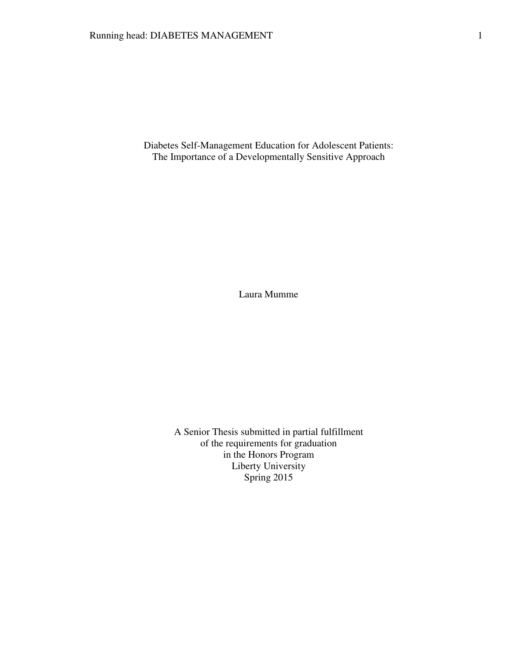Diabetes Self-Management Education for Adolescent Patients: The Importance of a Developmentally Sensitive Approach

Laura Mumme

A Senior Thesis submitted in partial fulfillment of the requirements for graduation in the Honors Program Liberty University Spring 2015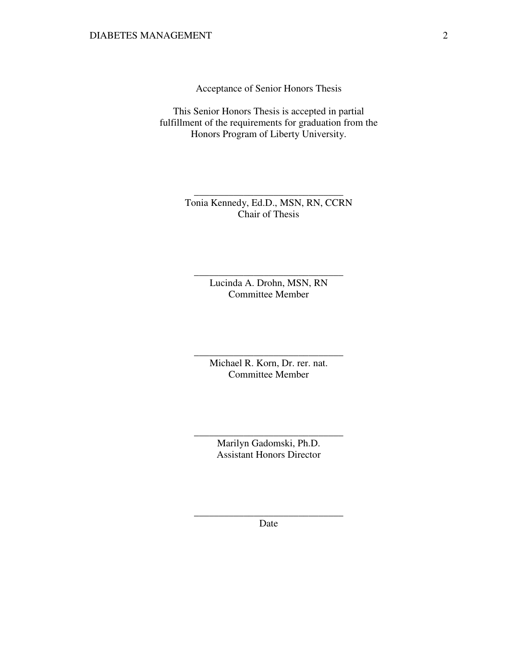Acceptance of Senior Honors Thesis

This Senior Honors Thesis is accepted in partial fulfillment of the requirements for graduation from the Honors Program of Liberty University.

> Tonia Kennedy, Ed.D., MSN, RN, CCRN Chair of Thesis

\_\_\_\_\_\_\_\_\_\_\_\_\_\_\_\_\_\_\_\_\_\_\_\_\_\_\_\_\_\_

Lucinda A. Drohn, MSN, RN Committee Member

\_\_\_\_\_\_\_\_\_\_\_\_\_\_\_\_\_\_\_\_\_\_\_\_\_\_\_\_\_\_

Michael R. Korn, Dr. rer. nat. Committee Member

\_\_\_\_\_\_\_\_\_\_\_\_\_\_\_\_\_\_\_\_\_\_\_\_\_\_\_\_\_\_

Marilyn Gadomski, Ph.D. Assistant Honors Director

\_\_\_\_\_\_\_\_\_\_\_\_\_\_\_\_\_\_\_\_\_\_\_\_\_\_\_\_\_\_

\_\_\_\_\_\_\_\_\_\_\_\_\_\_\_\_\_\_\_\_\_\_\_\_\_\_\_\_\_\_ Date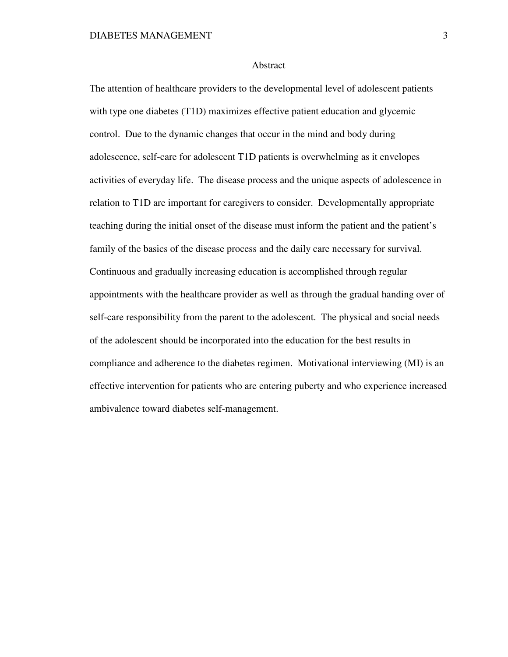### Abstract

The attention of healthcare providers to the developmental level of adolescent patients with type one diabetes (T1D) maximizes effective patient education and glycemic control. Due to the dynamic changes that occur in the mind and body during adolescence, self-care for adolescent T1D patients is overwhelming as it envelopes activities of everyday life. The disease process and the unique aspects of adolescence in relation to T1D are important for caregivers to consider. Developmentally appropriate teaching during the initial onset of the disease must inform the patient and the patient's family of the basics of the disease process and the daily care necessary for survival. Continuous and gradually increasing education is accomplished through regular appointments with the healthcare provider as well as through the gradual handing over of self-care responsibility from the parent to the adolescent. The physical and social needs of the adolescent should be incorporated into the education for the best results in compliance and adherence to the diabetes regimen. Motivational interviewing (MI) is an effective intervention for patients who are entering puberty and who experience increased ambivalence toward diabetes self-management.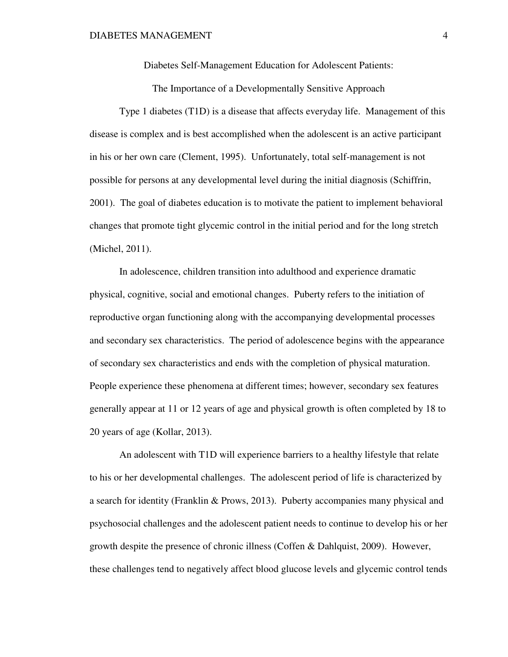Diabetes Self-Management Education for Adolescent Patients:

The Importance of a Developmentally Sensitive Approach

 Type 1 diabetes (T1D) is a disease that affects everyday life. Management of this disease is complex and is best accomplished when the adolescent is an active participant in his or her own care (Clement, 1995). Unfortunately, total self-management is not possible for persons at any developmental level during the initial diagnosis (Schiffrin, 2001). The goal of diabetes education is to motivate the patient to implement behavioral changes that promote tight glycemic control in the initial period and for the long stretch (Michel, 2011).

 In adolescence, children transition into adulthood and experience dramatic physical, cognitive, social and emotional changes. Puberty refers to the initiation of reproductive organ functioning along with the accompanying developmental processes and secondary sex characteristics. The period of adolescence begins with the appearance of secondary sex characteristics and ends with the completion of physical maturation. People experience these phenomena at different times; however, secondary sex features generally appear at 11 or 12 years of age and physical growth is often completed by 18 to 20 years of age (Kollar, 2013).

 An adolescent with T1D will experience barriers to a healthy lifestyle that relate to his or her developmental challenges. The adolescent period of life is characterized by a search for identity (Franklin & Prows, 2013). Puberty accompanies many physical and psychosocial challenges and the adolescent patient needs to continue to develop his or her growth despite the presence of chronic illness (Coffen & Dahlquist, 2009). However, these challenges tend to negatively affect blood glucose levels and glycemic control tends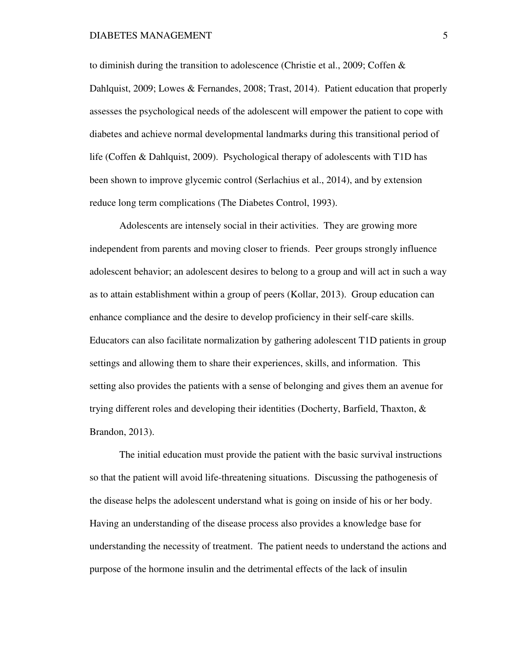to diminish during the transition to adolescence (Christie et al., 2009; Coffen  $&$ Dahlquist, 2009; Lowes & Fernandes, 2008; Trast, 2014). Patient education that properly assesses the psychological needs of the adolescent will empower the patient to cope with diabetes and achieve normal developmental landmarks during this transitional period of life (Coffen & Dahlquist, 2009). Psychological therapy of adolescents with T1D has been shown to improve glycemic control (Serlachius et al., 2014), and by extension reduce long term complications (The Diabetes Control, 1993).

 Adolescents are intensely social in their activities. They are growing more independent from parents and moving closer to friends. Peer groups strongly influence adolescent behavior; an adolescent desires to belong to a group and will act in such a way as to attain establishment within a group of peers (Kollar, 2013). Group education can enhance compliance and the desire to develop proficiency in their self-care skills. Educators can also facilitate normalization by gathering adolescent T1D patients in group settings and allowing them to share their experiences, skills, and information. This setting also provides the patients with a sense of belonging and gives them an avenue for trying different roles and developing their identities (Docherty, Barfield, Thaxton, & Brandon, 2013).

 The initial education must provide the patient with the basic survival instructions so that the patient will avoid life-threatening situations. Discussing the pathogenesis of the disease helps the adolescent understand what is going on inside of his or her body. Having an understanding of the disease process also provides a knowledge base for understanding the necessity of treatment. The patient needs to understand the actions and purpose of the hormone insulin and the detrimental effects of the lack of insulin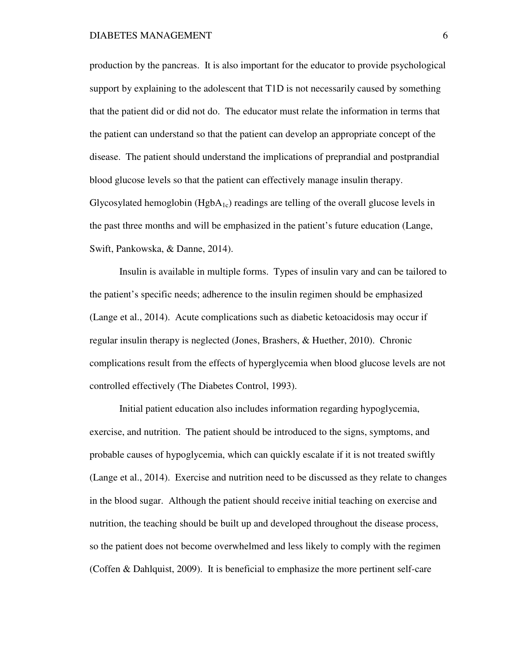production by the pancreas. It is also important for the educator to provide psychological support by explaining to the adolescent that T1D is not necessarily caused by something that the patient did or did not do. The educator must relate the information in terms that the patient can understand so that the patient can develop an appropriate concept of the disease. The patient should understand the implications of preprandial and postprandial blood glucose levels so that the patient can effectively manage insulin therapy. Glycosylated hemoglobin ( $HgbA_{1c}$ ) readings are telling of the overall glucose levels in the past three months and will be emphasized in the patient's future education (Lange, Swift, Pankowska, & Danne, 2014).

 Insulin is available in multiple forms. Types of insulin vary and can be tailored to the patient's specific needs; adherence to the insulin regimen should be emphasized (Lange et al., 2014). Acute complications such as diabetic ketoacidosis may occur if regular insulin therapy is neglected (Jones, Brashers, & Huether, 2010). Chronic complications result from the effects of hyperglycemia when blood glucose levels are not controlled effectively (The Diabetes Control, 1993).

 Initial patient education also includes information regarding hypoglycemia, exercise, and nutrition. The patient should be introduced to the signs, symptoms, and probable causes of hypoglycemia, which can quickly escalate if it is not treated swiftly (Lange et al., 2014). Exercise and nutrition need to be discussed as they relate to changes in the blood sugar. Although the patient should receive initial teaching on exercise and nutrition, the teaching should be built up and developed throughout the disease process, so the patient does not become overwhelmed and less likely to comply with the regimen (Coffen & Dahlquist, 2009). It is beneficial to emphasize the more pertinent self-care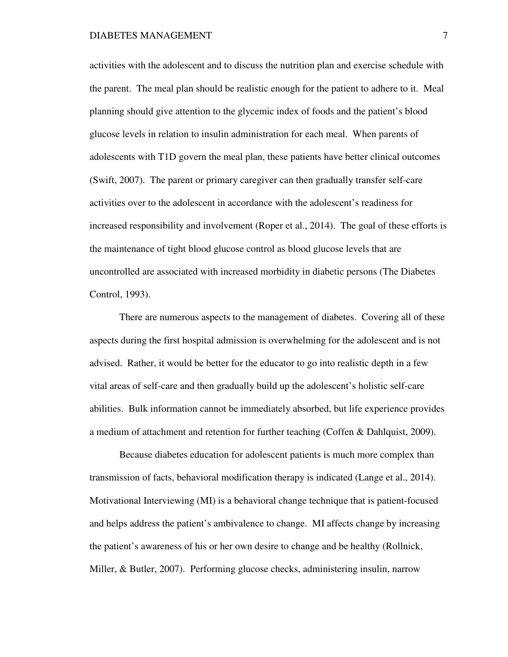activities with the adolescent and to discuss the nutrition plan and exercise schedule with the parent. The meal plan should be realistic enough for the patient to adhere to it. Meal planning should give attention to the glycemic index of foods and the patient's blood glucose levels in relation to insulin administration for each meal. When parents of adolescents with T1D govern the meal plan, these patients have better clinical outcomes (Swift, 2007). The parent or primary caregiver can then gradually transfer self-care activities over to the adolescent in accordance with the adolescent's readiness for increased responsibility and involvement (Roper et al., 2014). The goal of these efforts is the maintenance of tight blood glucose control as blood glucose levels that are uncontrolled are associated with increased morbidity in diabetic persons (The Diabetes Control, 1993).

 There are numerous aspects to the management of diabetes. Covering all of these aspects during the first hospital admission is overwhelming for the adolescent and is not advised. Rather, it would be better for the educator to go into realistic depth in a few vital areas of self-care and then gradually build up the adolescent's holistic self-care abilities. Bulk information cannot be immediately absorbed, but life experience provides a medium of attachment and retention for further teaching (Coffen & Dahlquist, 2009).

 Because diabetes education for adolescent patients is much more complex than transmission of facts, behavioral modification therapy is indicated (Lange et al., 2014). Motivational Interviewing (MI) is a behavioral change technique that is patient-focused and helps address the patient's ambivalence to change. MI affects change by increasing the patient's awareness of his or her own desire to change and be healthy (Rollnick, Miller, & Butler, 2007). Performing glucose checks, administering insulin, narrow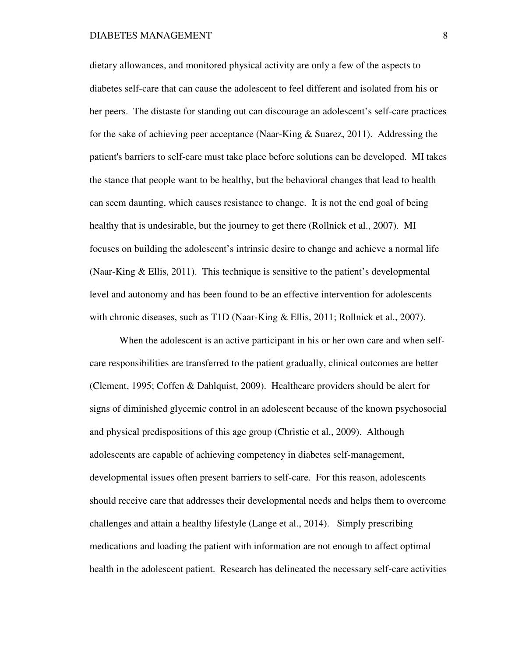dietary allowances, and monitored physical activity are only a few of the aspects to diabetes self-care that can cause the adolescent to feel different and isolated from his or her peers. The distaste for standing out can discourage an adolescent's self-care practices for the sake of achieving peer acceptance (Naar-King & Suarez, 2011). Addressing the patient's barriers to self-care must take place before solutions can be developed. MI takes the stance that people want to be healthy, but the behavioral changes that lead to health can seem daunting, which causes resistance to change. It is not the end goal of being healthy that is undesirable, but the journey to get there (Rollnick et al., 2007). MI focuses on building the adolescent's intrinsic desire to change and achieve a normal life (Naar-King & Ellis, 2011). This technique is sensitive to the patient's developmental level and autonomy and has been found to be an effective intervention for adolescents with chronic diseases, such as T1D (Naar-King & Ellis, 2011; Rollnick et al., 2007).

 When the adolescent is an active participant in his or her own care and when selfcare responsibilities are transferred to the patient gradually, clinical outcomes are better (Clement, 1995; Coffen & Dahlquist, 2009). Healthcare providers should be alert for signs of diminished glycemic control in an adolescent because of the known psychosocial and physical predispositions of this age group (Christie et al., 2009). Although adolescents are capable of achieving competency in diabetes self-management, developmental issues often present barriers to self-care. For this reason, adolescents should receive care that addresses their developmental needs and helps them to overcome challenges and attain a healthy lifestyle (Lange et al., 2014). Simply prescribing medications and loading the patient with information are not enough to affect optimal health in the adolescent patient. Research has delineated the necessary self-care activities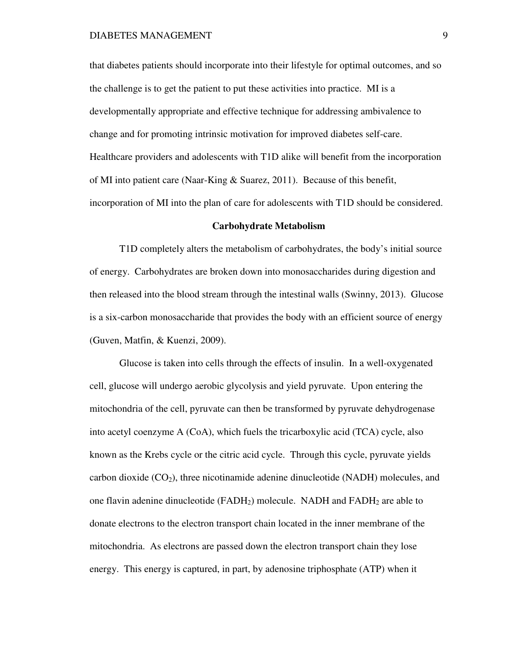that diabetes patients should incorporate into their lifestyle for optimal outcomes, and so the challenge is to get the patient to put these activities into practice. MI is a developmentally appropriate and effective technique for addressing ambivalence to change and for promoting intrinsic motivation for improved diabetes self-care. Healthcare providers and adolescents with T1D alike will benefit from the incorporation of MI into patient care (Naar-King & Suarez, 2011). Because of this benefit, incorporation of MI into the plan of care for adolescents with T1D should be considered.

### **Carbohydrate Metabolism**

 T1D completely alters the metabolism of carbohydrates, the body's initial source of energy. Carbohydrates are broken down into monosaccharides during digestion and then released into the blood stream through the intestinal walls (Swinny, 2013). Glucose is a six-carbon monosaccharide that provides the body with an efficient source of energy (Guven, Matfin, & Kuenzi, 2009).

 Glucose is taken into cells through the effects of insulin. In a well-oxygenated cell, glucose will undergo aerobic glycolysis and yield pyruvate. Upon entering the mitochondria of the cell, pyruvate can then be transformed by pyruvate dehydrogenase into acetyl coenzyme A (CoA), which fuels the tricarboxylic acid (TCA) cycle, also known as the Krebs cycle or the citric acid cycle. Through this cycle, pyruvate yields carbon dioxide  $(CO<sub>2</sub>)$ , three nicotinamide adenine dinucleotide (NADH) molecules, and one flavin adenine dinucleotide ( $FADH<sub>2</sub>$ ) molecule. NADH and  $FADH<sub>2</sub>$  are able to donate electrons to the electron transport chain located in the inner membrane of the mitochondria. As electrons are passed down the electron transport chain they lose energy. This energy is captured, in part, by adenosine triphosphate (ATP) when it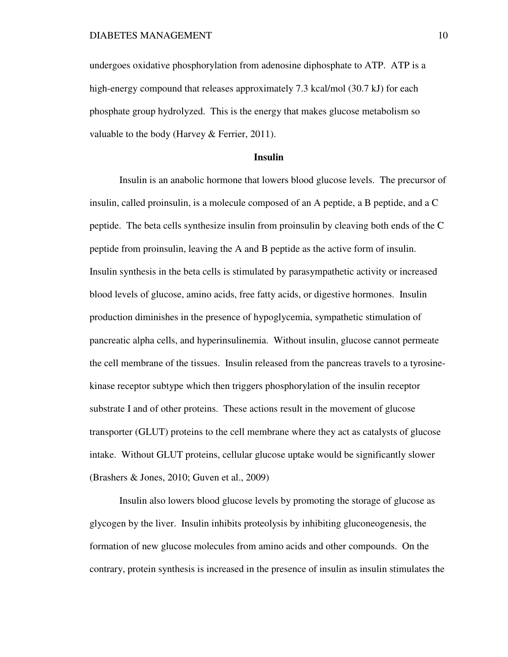undergoes oxidative phosphorylation from adenosine diphosphate to ATP. ATP is a high-energy compound that releases approximately 7.3 kcal/mol (30.7 kJ) for each phosphate group hydrolyzed. This is the energy that makes glucose metabolism so valuable to the body (Harvey & Ferrier, 2011).

# **Insulin**

 Insulin is an anabolic hormone that lowers blood glucose levels. The precursor of insulin, called proinsulin, is a molecule composed of an A peptide, a B peptide, and a C peptide. The beta cells synthesize insulin from proinsulin by cleaving both ends of the C peptide from proinsulin, leaving the A and B peptide as the active form of insulin. Insulin synthesis in the beta cells is stimulated by parasympathetic activity or increased blood levels of glucose, amino acids, free fatty acids, or digestive hormones. Insulin production diminishes in the presence of hypoglycemia, sympathetic stimulation of pancreatic alpha cells, and hyperinsulinemia. Without insulin, glucose cannot permeate the cell membrane of the tissues. Insulin released from the pancreas travels to a tyrosinekinase receptor subtype which then triggers phosphorylation of the insulin receptor substrate I and of other proteins. These actions result in the movement of glucose transporter (GLUT) proteins to the cell membrane where they act as catalysts of glucose intake. Without GLUT proteins, cellular glucose uptake would be significantly slower (Brashers & Jones, 2010; Guven et al., 2009)

 Insulin also lowers blood glucose levels by promoting the storage of glucose as glycogen by the liver. Insulin inhibits proteolysis by inhibiting gluconeogenesis, the formation of new glucose molecules from amino acids and other compounds. On the contrary, protein synthesis is increased in the presence of insulin as insulin stimulates the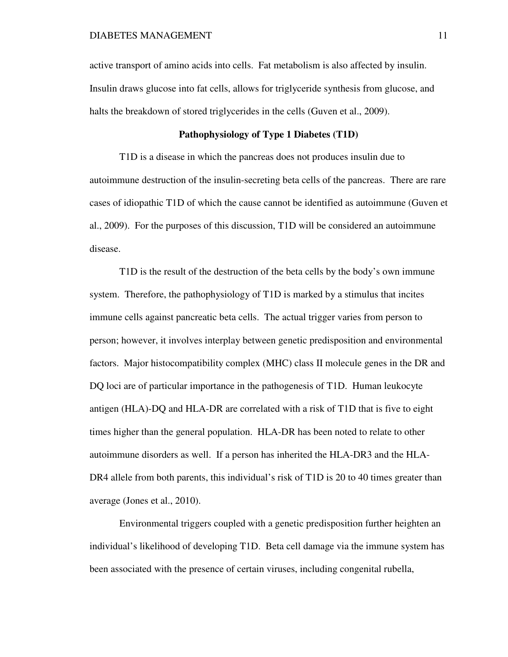active transport of amino acids into cells. Fat metabolism is also affected by insulin. Insulin draws glucose into fat cells, allows for triglyceride synthesis from glucose, and halts the breakdown of stored triglycerides in the cells (Guven et al., 2009).

# **Pathophysiology of Type 1 Diabetes (T1D)**

 T1D is a disease in which the pancreas does not produces insulin due to autoimmune destruction of the insulin-secreting beta cells of the pancreas. There are rare cases of idiopathic T1D of which the cause cannot be identified as autoimmune (Guven et al., 2009). For the purposes of this discussion, T1D will be considered an autoimmune disease.

T1D is the result of the destruction of the beta cells by the body's own immune system. Therefore, the pathophysiology of T1D is marked by a stimulus that incites immune cells against pancreatic beta cells. The actual trigger varies from person to person; however, it involves interplay between genetic predisposition and environmental factors. Major histocompatibility complex (MHC) class II molecule genes in the DR and DQ loci are of particular importance in the pathogenesis of T1D. Human leukocyte antigen (HLA)-DQ and HLA-DR are correlated with a risk of T1D that is five to eight times higher than the general population. HLA-DR has been noted to relate to other autoimmune disorders as well. If a person has inherited the HLA-DR3 and the HLA-DR4 allele from both parents, this individual's risk of T1D is 20 to 40 times greater than average (Jones et al., 2010).

 Environmental triggers coupled with a genetic predisposition further heighten an individual's likelihood of developing T1D. Beta cell damage via the immune system has been associated with the presence of certain viruses, including congenital rubella,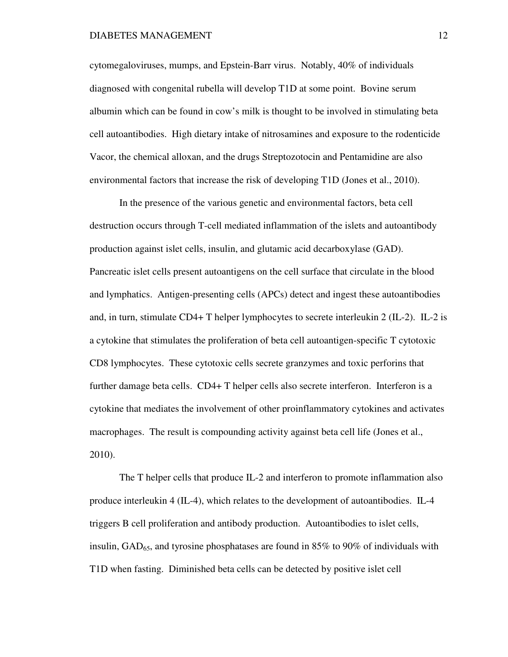cytomegaloviruses, mumps, and Epstein-Barr virus. Notably, 40% of individuals diagnosed with congenital rubella will develop T1D at some point. Bovine serum albumin which can be found in cow's milk is thought to be involved in stimulating beta cell autoantibodies. High dietary intake of nitrosamines and exposure to the rodenticide Vacor, the chemical alloxan, and the drugs Streptozotocin and Pentamidine are also environmental factors that increase the risk of developing T1D (Jones et al., 2010).

 In the presence of the various genetic and environmental factors, beta cell destruction occurs through T-cell mediated inflammation of the islets and autoantibody production against islet cells, insulin, and glutamic acid decarboxylase (GAD). Pancreatic islet cells present autoantigens on the cell surface that circulate in the blood and lymphatics. Antigen-presenting cells (APCs) detect and ingest these autoantibodies and, in turn, stimulate CD4+ T helper lymphocytes to secrete interleukin 2 (IL-2). IL-2 is a cytokine that stimulates the proliferation of beta cell autoantigen-specific T cytotoxic CD8 lymphocytes. These cytotoxic cells secrete granzymes and toxic perforins that further damage beta cells. CD4+ T helper cells also secrete interferon. Interferon is a cytokine that mediates the involvement of other proinflammatory cytokines and activates macrophages. The result is compounding activity against beta cell life (Jones et al., 2010).

 The T helper cells that produce IL-2 and interferon to promote inflammation also produce interleukin 4 (IL-4), which relates to the development of autoantibodies. IL-4 triggers B cell proliferation and antibody production. Autoantibodies to islet cells, insulin,  $GAD_{65}$ , and tyrosine phosphatases are found in 85% to 90% of individuals with T1D when fasting. Diminished beta cells can be detected by positive islet cell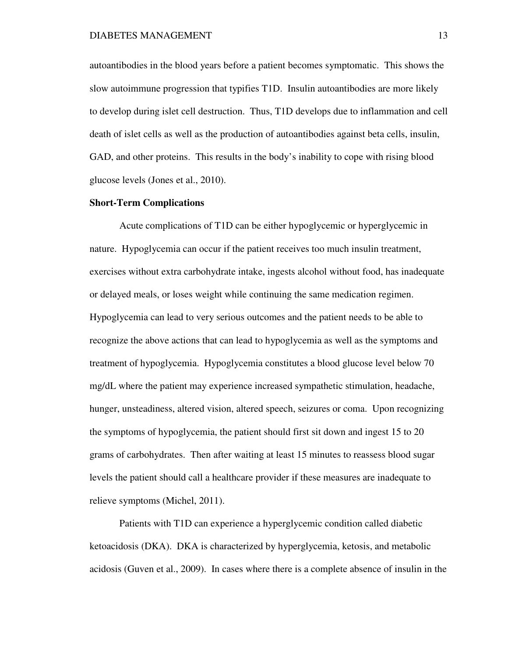autoantibodies in the blood years before a patient becomes symptomatic. This shows the slow autoimmune progression that typifies T1D. Insulin autoantibodies are more likely to develop during islet cell destruction. Thus, T1D develops due to inflammation and cell death of islet cells as well as the production of autoantibodies against beta cells, insulin, GAD, and other proteins. This results in the body's inability to cope with rising blood glucose levels (Jones et al., 2010).

# **Short-Term Complications**

 Acute complications of T1D can be either hypoglycemic or hyperglycemic in nature. Hypoglycemia can occur if the patient receives too much insulin treatment, exercises without extra carbohydrate intake, ingests alcohol without food, has inadequate or delayed meals, or loses weight while continuing the same medication regimen. Hypoglycemia can lead to very serious outcomes and the patient needs to be able to recognize the above actions that can lead to hypoglycemia as well as the symptoms and treatment of hypoglycemia. Hypoglycemia constitutes a blood glucose level below 70 mg/dL where the patient may experience increased sympathetic stimulation, headache, hunger, unsteadiness, altered vision, altered speech, seizures or coma. Upon recognizing the symptoms of hypoglycemia, the patient should first sit down and ingest 15 to 20 grams of carbohydrates. Then after waiting at least 15 minutes to reassess blood sugar levels the patient should call a healthcare provider if these measures are inadequate to relieve symptoms (Michel, 2011).

 Patients with T1D can experience a hyperglycemic condition called diabetic ketoacidosis (DKA). DKA is characterized by hyperglycemia, ketosis, and metabolic acidosis (Guven et al., 2009). In cases where there is a complete absence of insulin in the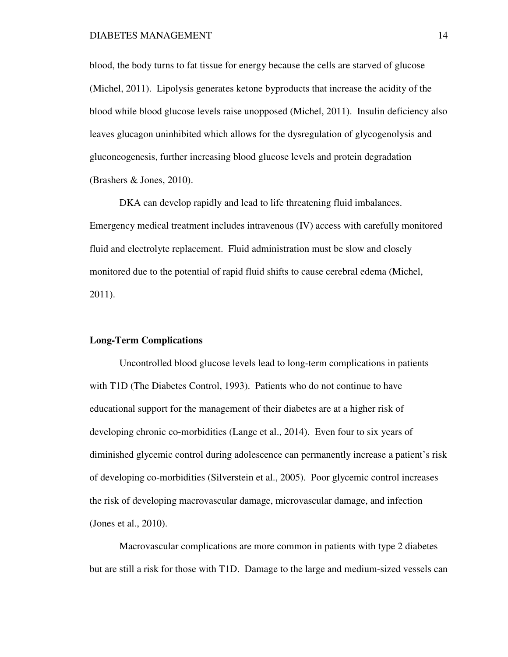blood, the body turns to fat tissue for energy because the cells are starved of glucose (Michel, 2011). Lipolysis generates ketone byproducts that increase the acidity of the blood while blood glucose levels raise unopposed (Michel, 2011). Insulin deficiency also leaves glucagon uninhibited which allows for the dysregulation of glycogenolysis and gluconeogenesis, further increasing blood glucose levels and protein degradation (Brashers & Jones, 2010).

 DKA can develop rapidly and lead to life threatening fluid imbalances. Emergency medical treatment includes intravenous (IV) access with carefully monitored fluid and electrolyte replacement. Fluid administration must be slow and closely monitored due to the potential of rapid fluid shifts to cause cerebral edema (Michel, 2011).

# **Long-Term Complications**

 Uncontrolled blood glucose levels lead to long-term complications in patients with T1D (The Diabetes Control, 1993). Patients who do not continue to have educational support for the management of their diabetes are at a higher risk of developing chronic co-morbidities (Lange et al., 2014). Even four to six years of diminished glycemic control during adolescence can permanently increase a patient's risk of developing co-morbidities (Silverstein et al., 2005). Poor glycemic control increases the risk of developing macrovascular damage, microvascular damage, and infection (Jones et al., 2010).

 Macrovascular complications are more common in patients with type 2 diabetes but are still a risk for those with T1D. Damage to the large and medium-sized vessels can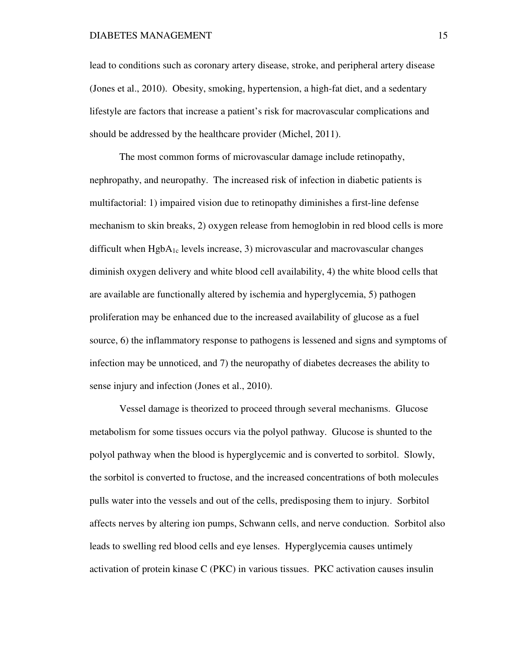lead to conditions such as coronary artery disease, stroke, and peripheral artery disease (Jones et al., 2010). Obesity, smoking, hypertension, a high-fat diet, and a sedentary lifestyle are factors that increase a patient's risk for macrovascular complications and should be addressed by the healthcare provider (Michel, 2011).

 The most common forms of microvascular damage include retinopathy, nephropathy, and neuropathy. The increased risk of infection in diabetic patients is multifactorial: 1) impaired vision due to retinopathy diminishes a first-line defense mechanism to skin breaks, 2) oxygen release from hemoglobin in red blood cells is more difficult when  $HgbA_{1c}$  levels increase, 3) microvascular and macrovascular changes diminish oxygen delivery and white blood cell availability, 4) the white blood cells that are available are functionally altered by ischemia and hyperglycemia, 5) pathogen proliferation may be enhanced due to the increased availability of glucose as a fuel source, 6) the inflammatory response to pathogens is lessened and signs and symptoms of infection may be unnoticed, and 7) the neuropathy of diabetes decreases the ability to sense injury and infection (Jones et al., 2010).

 Vessel damage is theorized to proceed through several mechanisms. Glucose metabolism for some tissues occurs via the polyol pathway. Glucose is shunted to the polyol pathway when the blood is hyperglycemic and is converted to sorbitol. Slowly, the sorbitol is converted to fructose, and the increased concentrations of both molecules pulls water into the vessels and out of the cells, predisposing them to injury. Sorbitol affects nerves by altering ion pumps, Schwann cells, and nerve conduction. Sorbitol also leads to swelling red blood cells and eye lenses. Hyperglycemia causes untimely activation of protein kinase C (PKC) in various tissues. PKC activation causes insulin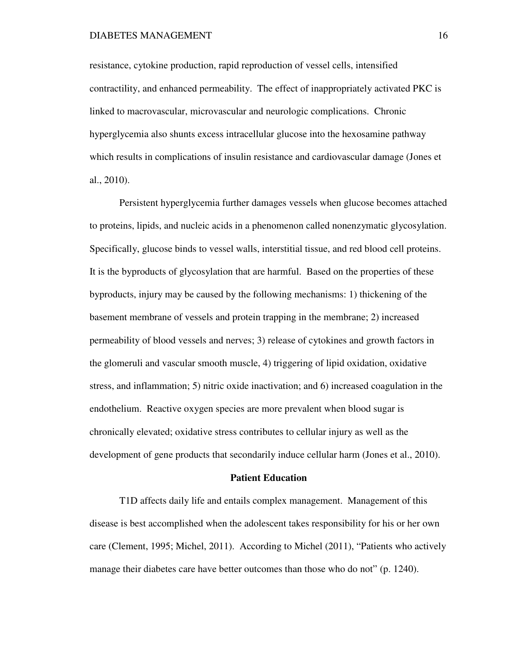resistance, cytokine production, rapid reproduction of vessel cells, intensified contractility, and enhanced permeability. The effect of inappropriately activated PKC is linked to macrovascular, microvascular and neurologic complications. Chronic hyperglycemia also shunts excess intracellular glucose into the hexosamine pathway which results in complications of insulin resistance and cardiovascular damage (Jones et al., 2010).

 Persistent hyperglycemia further damages vessels when glucose becomes attached to proteins, lipids, and nucleic acids in a phenomenon called nonenzymatic glycosylation. Specifically, glucose binds to vessel walls, interstitial tissue, and red blood cell proteins. It is the byproducts of glycosylation that are harmful. Based on the properties of these byproducts, injury may be caused by the following mechanisms: 1) thickening of the basement membrane of vessels and protein trapping in the membrane; 2) increased permeability of blood vessels and nerves; 3) release of cytokines and growth factors in the glomeruli and vascular smooth muscle, 4) triggering of lipid oxidation, oxidative stress, and inflammation; 5) nitric oxide inactivation; and 6) increased coagulation in the endothelium. Reactive oxygen species are more prevalent when blood sugar is chronically elevated; oxidative stress contributes to cellular injury as well as the development of gene products that secondarily induce cellular harm (Jones et al., 2010).

### **Patient Education**

 T1D affects daily life and entails complex management. Management of this disease is best accomplished when the adolescent takes responsibility for his or her own care (Clement, 1995; Michel, 2011). According to Michel (2011), "Patients who actively manage their diabetes care have better outcomes than those who do not" (p. 1240).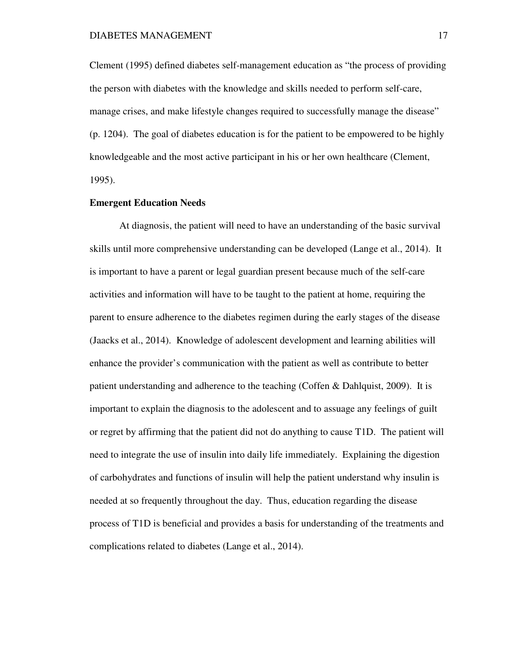Clement (1995) defined diabetes self-management education as "the process of providing the person with diabetes with the knowledge and skills needed to perform self-care, manage crises, and make lifestyle changes required to successfully manage the disease" (p. 1204). The goal of diabetes education is for the patient to be empowered to be highly knowledgeable and the most active participant in his or her own healthcare (Clement, 1995).

# **Emergent Education Needs**

 At diagnosis, the patient will need to have an understanding of the basic survival skills until more comprehensive understanding can be developed (Lange et al., 2014). It is important to have a parent or legal guardian present because much of the self-care activities and information will have to be taught to the patient at home, requiring the parent to ensure adherence to the diabetes regimen during the early stages of the disease (Jaacks et al., 2014). Knowledge of adolescent development and learning abilities will enhance the provider's communication with the patient as well as contribute to better patient understanding and adherence to the teaching (Coffen & Dahlquist, 2009). It is important to explain the diagnosis to the adolescent and to assuage any feelings of guilt or regret by affirming that the patient did not do anything to cause T1D. The patient will need to integrate the use of insulin into daily life immediately. Explaining the digestion of carbohydrates and functions of insulin will help the patient understand why insulin is needed at so frequently throughout the day. Thus, education regarding the disease process of T1D is beneficial and provides a basis for understanding of the treatments and complications related to diabetes (Lange et al., 2014).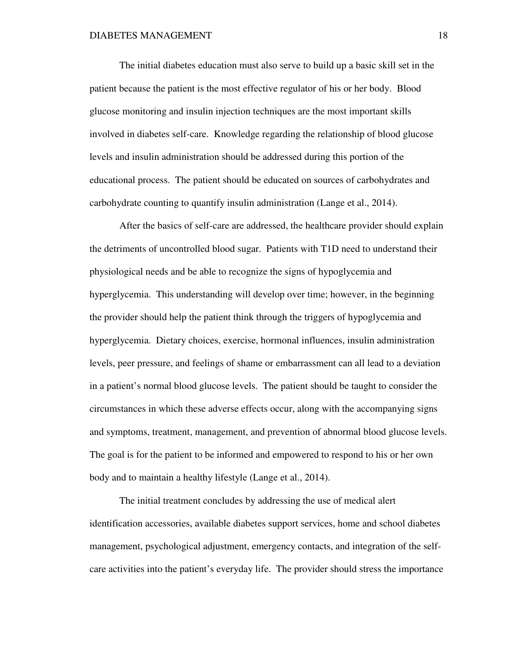The initial diabetes education must also serve to build up a basic skill set in the patient because the patient is the most effective regulator of his or her body. Blood glucose monitoring and insulin injection techniques are the most important skills involved in diabetes self-care. Knowledge regarding the relationship of blood glucose levels and insulin administration should be addressed during this portion of the educational process. The patient should be educated on sources of carbohydrates and carbohydrate counting to quantify insulin administration (Lange et al., 2014).

 After the basics of self-care are addressed, the healthcare provider should explain the detriments of uncontrolled blood sugar. Patients with T1D need to understand their physiological needs and be able to recognize the signs of hypoglycemia and hyperglycemia. This understanding will develop over time; however, in the beginning the provider should help the patient think through the triggers of hypoglycemia and hyperglycemia. Dietary choices, exercise, hormonal influences, insulin administration levels, peer pressure, and feelings of shame or embarrassment can all lead to a deviation in a patient's normal blood glucose levels. The patient should be taught to consider the circumstances in which these adverse effects occur, along with the accompanying signs and symptoms, treatment, management, and prevention of abnormal blood glucose levels. The goal is for the patient to be informed and empowered to respond to his or her own body and to maintain a healthy lifestyle (Lange et al., 2014).

 The initial treatment concludes by addressing the use of medical alert identification accessories, available diabetes support services, home and school diabetes management, psychological adjustment, emergency contacts, and integration of the selfcare activities into the patient's everyday life. The provider should stress the importance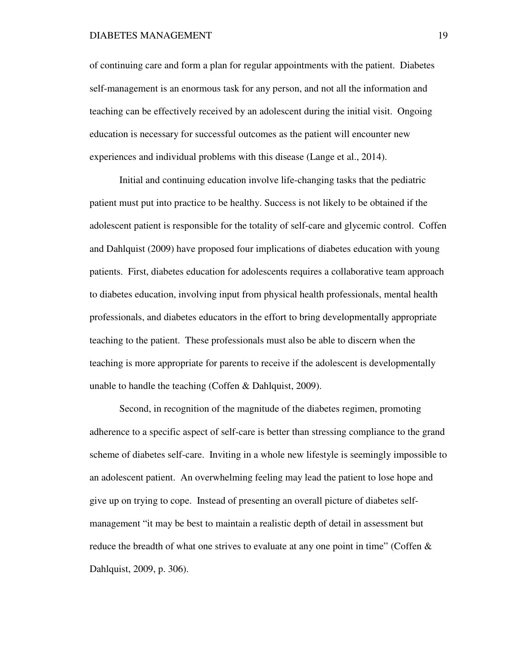of continuing care and form a plan for regular appointments with the patient. Diabetes self-management is an enormous task for any person, and not all the information and teaching can be effectively received by an adolescent during the initial visit. Ongoing education is necessary for successful outcomes as the patient will encounter new experiences and individual problems with this disease (Lange et al., 2014).

 Initial and continuing education involve life-changing tasks that the pediatric patient must put into practice to be healthy. Success is not likely to be obtained if the adolescent patient is responsible for the totality of self-care and glycemic control. Coffen and Dahlquist (2009) have proposed four implications of diabetes education with young patients. First, diabetes education for adolescents requires a collaborative team approach to diabetes education, involving input from physical health professionals, mental health professionals, and diabetes educators in the effort to bring developmentally appropriate teaching to the patient. These professionals must also be able to discern when the teaching is more appropriate for parents to receive if the adolescent is developmentally unable to handle the teaching (Coffen & Dahlquist, 2009).

 Second, in recognition of the magnitude of the diabetes regimen, promoting adherence to a specific aspect of self-care is better than stressing compliance to the grand scheme of diabetes self-care. Inviting in a whole new lifestyle is seemingly impossible to an adolescent patient. An overwhelming feeling may lead the patient to lose hope and give up on trying to cope. Instead of presenting an overall picture of diabetes selfmanagement "it may be best to maintain a realistic depth of detail in assessment but reduce the breadth of what one strives to evaluate at any one point in time" (Coffen  $\&$ Dahlquist, 2009, p. 306).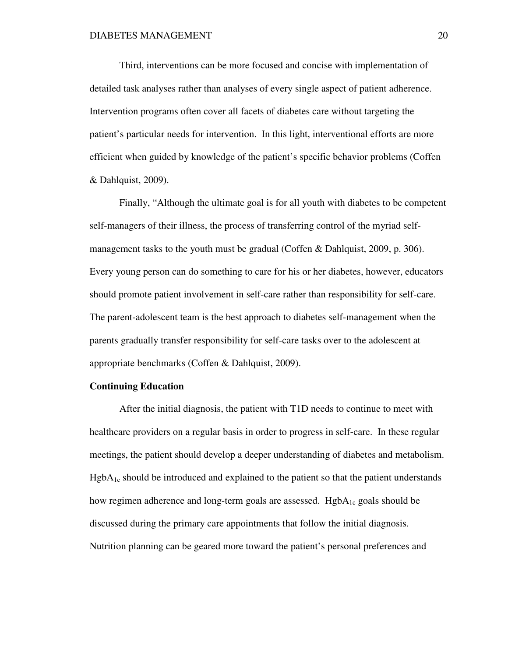Third, interventions can be more focused and concise with implementation of detailed task analyses rather than analyses of every single aspect of patient adherence. Intervention programs often cover all facets of diabetes care without targeting the patient's particular needs for intervention. In this light, interventional efforts are more efficient when guided by knowledge of the patient's specific behavior problems (Coffen & Dahlquist, 2009).

 Finally, "Although the ultimate goal is for all youth with diabetes to be competent self-managers of their illness, the process of transferring control of the myriad selfmanagement tasks to the youth must be gradual (Coffen & Dahlquist, 2009, p. 306). Every young person can do something to care for his or her diabetes, however, educators should promote patient involvement in self-care rather than responsibility for self-care. The parent-adolescent team is the best approach to diabetes self-management when the parents gradually transfer responsibility for self-care tasks over to the adolescent at appropriate benchmarks (Coffen & Dahlquist, 2009).

# **Continuing Education**

 After the initial diagnosis, the patient with T1D needs to continue to meet with healthcare providers on a regular basis in order to progress in self-care. In these regular meetings, the patient should develop a deeper understanding of diabetes and metabolism.  $HgbA_{1c}$  should be introduced and explained to the patient so that the patient understands how regimen adherence and long-term goals are assessed.  $HgbA_{1c}$  goals should be discussed during the primary care appointments that follow the initial diagnosis. Nutrition planning can be geared more toward the patient's personal preferences and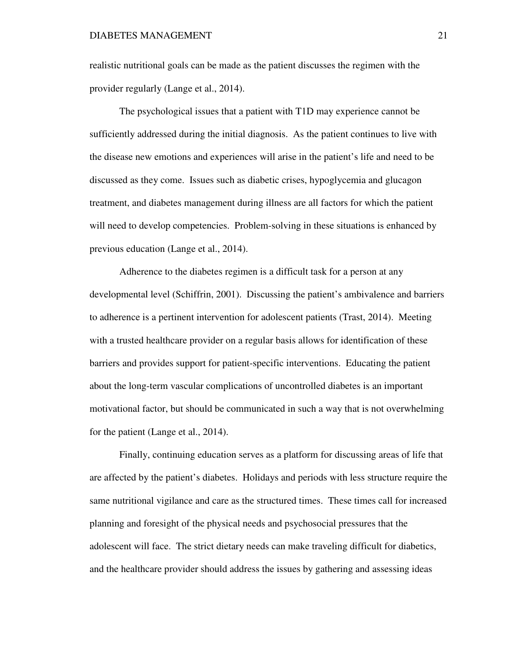realistic nutritional goals can be made as the patient discusses the regimen with the provider regularly (Lange et al., 2014).

 The psychological issues that a patient with T1D may experience cannot be sufficiently addressed during the initial diagnosis. As the patient continues to live with the disease new emotions and experiences will arise in the patient's life and need to be discussed as they come. Issues such as diabetic crises, hypoglycemia and glucagon treatment, and diabetes management during illness are all factors for which the patient will need to develop competencies. Problem-solving in these situations is enhanced by previous education (Lange et al., 2014).

 Adherence to the diabetes regimen is a difficult task for a person at any developmental level (Schiffrin, 2001). Discussing the patient's ambivalence and barriers to adherence is a pertinent intervention for adolescent patients (Trast, 2014). Meeting with a trusted healthcare provider on a regular basis allows for identification of these barriers and provides support for patient-specific interventions. Educating the patient about the long-term vascular complications of uncontrolled diabetes is an important motivational factor, but should be communicated in such a way that is not overwhelming for the patient (Lange et al., 2014).

 Finally, continuing education serves as a platform for discussing areas of life that are affected by the patient's diabetes. Holidays and periods with less structure require the same nutritional vigilance and care as the structured times. These times call for increased planning and foresight of the physical needs and psychosocial pressures that the adolescent will face. The strict dietary needs can make traveling difficult for diabetics, and the healthcare provider should address the issues by gathering and assessing ideas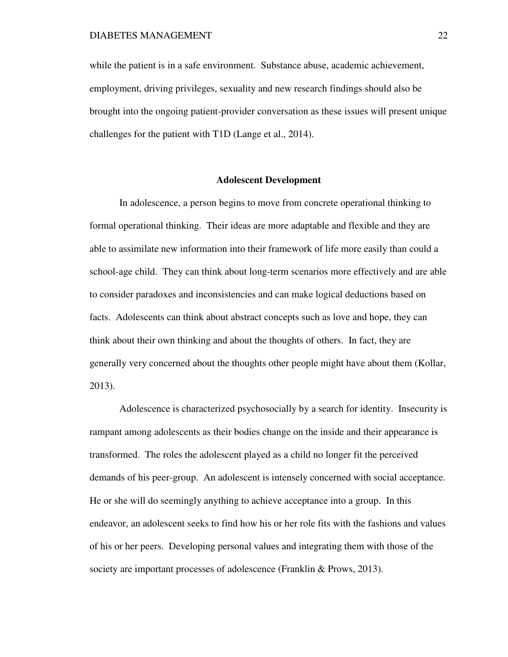while the patient is in a safe environment. Substance abuse, academic achievement, employment, driving privileges, sexuality and new research findings should also be brought into the ongoing patient-provider conversation as these issues will present unique challenges for the patient with T1D (Lange et al., 2014).

# **Adolescent Development**

 In adolescence, a person begins to move from concrete operational thinking to formal operational thinking. Their ideas are more adaptable and flexible and they are able to assimilate new information into their framework of life more easily than could a school-age child. They can think about long-term scenarios more effectively and are able to consider paradoxes and inconsistencies and can make logical deductions based on facts. Adolescents can think about abstract concepts such as love and hope, they can think about their own thinking and about the thoughts of others. In fact, they are generally very concerned about the thoughts other people might have about them (Kollar, 2013).

 Adolescence is characterized psychosocially by a search for identity. Insecurity is rampant among adolescents as their bodies change on the inside and their appearance is transformed. The roles the adolescent played as a child no longer fit the perceived demands of his peer-group. An adolescent is intensely concerned with social acceptance. He or she will do seemingly anything to achieve acceptance into a group. In this endeavor, an adolescent seeks to find how his or her role fits with the fashions and values of his or her peers. Developing personal values and integrating them with those of the society are important processes of adolescence (Franklin & Prows, 2013).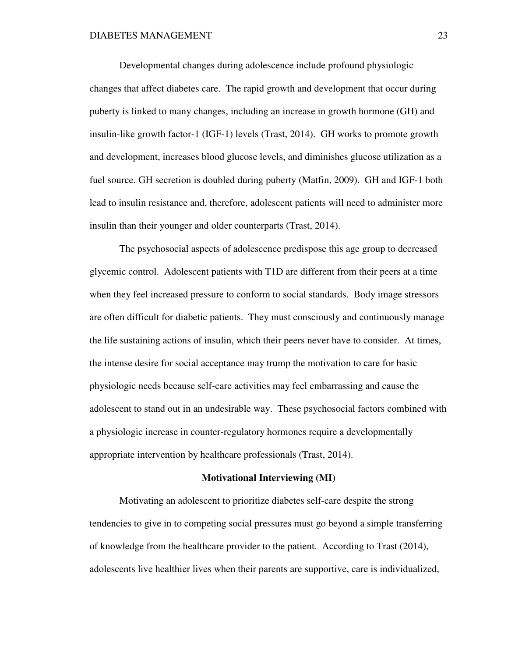Developmental changes during adolescence include profound physiologic changes that affect diabetes care. The rapid growth and development that occur during puberty is linked to many changes, including an increase in growth hormone (GH) and insulin-like growth factor-1 (IGF-1) levels (Trast, 2014). GH works to promote growth and development, increases blood glucose levels, and diminishes glucose utilization as a fuel source. GH secretion is doubled during puberty (Matfin, 2009). GH and IGF-1 both lead to insulin resistance and, therefore, adolescent patients will need to administer more insulin than their younger and older counterparts (Trast, 2014).

 The psychosocial aspects of adolescence predispose this age group to decreased glycemic control. Adolescent patients with T1D are different from their peers at a time when they feel increased pressure to conform to social standards. Body image stressors are often difficult for diabetic patients. They must consciously and continuously manage the life sustaining actions of insulin, which their peers never have to consider. At times, the intense desire for social acceptance may trump the motivation to care for basic physiologic needs because self-care activities may feel embarrassing and cause the adolescent to stand out in an undesirable way. These psychosocial factors combined with a physiologic increase in counter-regulatory hormones require a developmentally appropriate intervention by healthcare professionals (Trast, 2014).

#### **Motivational Interviewing (MI)**

 Motivating an adolescent to prioritize diabetes self-care despite the strong tendencies to give in to competing social pressures must go beyond a simple transferring of knowledge from the healthcare provider to the patient. According to Trast (2014), adolescents live healthier lives when their parents are supportive, care is individualized,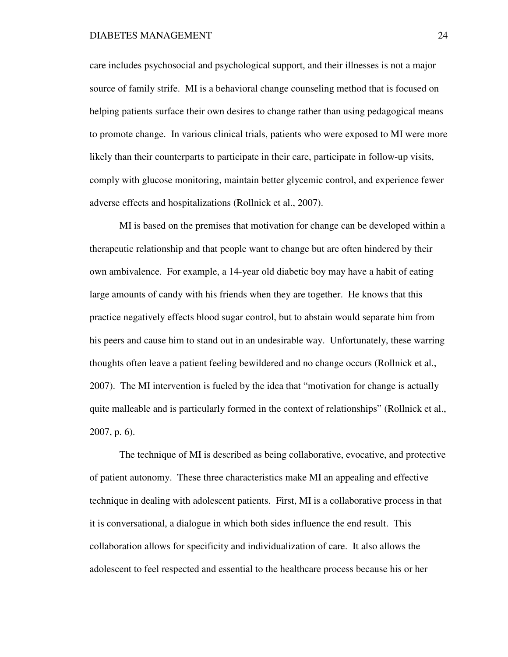care includes psychosocial and psychological support, and their illnesses is not a major source of family strife. MI is a behavioral change counseling method that is focused on helping patients surface their own desires to change rather than using pedagogical means to promote change. In various clinical trials, patients who were exposed to MI were more likely than their counterparts to participate in their care, participate in follow-up visits, comply with glucose monitoring, maintain better glycemic control, and experience fewer adverse effects and hospitalizations (Rollnick et al., 2007).

 MI is based on the premises that motivation for change can be developed within a therapeutic relationship and that people want to change but are often hindered by their own ambivalence. For example, a 14-year old diabetic boy may have a habit of eating large amounts of candy with his friends when they are together. He knows that this practice negatively effects blood sugar control, but to abstain would separate him from his peers and cause him to stand out in an undesirable way. Unfortunately, these warring thoughts often leave a patient feeling bewildered and no change occurs (Rollnick et al., 2007). The MI intervention is fueled by the idea that "motivation for change is actually quite malleable and is particularly formed in the context of relationships" (Rollnick et al., 2007, p. 6).

 The technique of MI is described as being collaborative, evocative, and protective of patient autonomy. These three characteristics make MI an appealing and effective technique in dealing with adolescent patients. First, MI is a collaborative process in that it is conversational, a dialogue in which both sides influence the end result. This collaboration allows for specificity and individualization of care. It also allows the adolescent to feel respected and essential to the healthcare process because his or her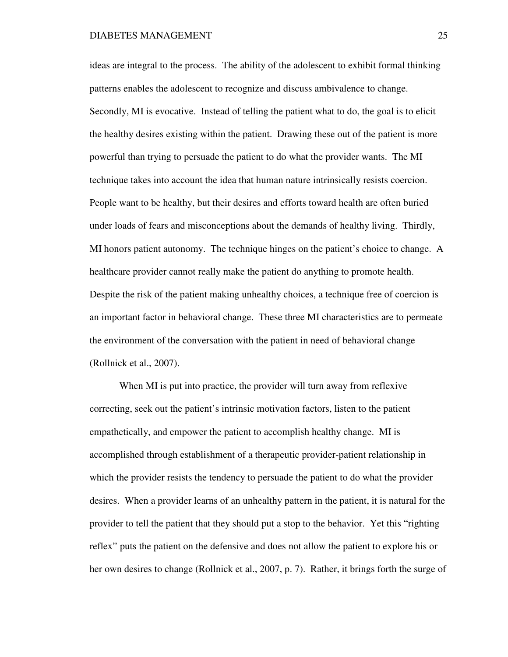ideas are integral to the process. The ability of the adolescent to exhibit formal thinking patterns enables the adolescent to recognize and discuss ambivalence to change. Secondly, MI is evocative. Instead of telling the patient what to do, the goal is to elicit the healthy desires existing within the patient. Drawing these out of the patient is more powerful than trying to persuade the patient to do what the provider wants. The MI technique takes into account the idea that human nature intrinsically resists coercion. People want to be healthy, but their desires and efforts toward health are often buried under loads of fears and misconceptions about the demands of healthy living. Thirdly, MI honors patient autonomy. The technique hinges on the patient's choice to change. A healthcare provider cannot really make the patient do anything to promote health. Despite the risk of the patient making unhealthy choices, a technique free of coercion is an important factor in behavioral change. These three MI characteristics are to permeate the environment of the conversation with the patient in need of behavioral change (Rollnick et al., 2007).

 When MI is put into practice, the provider will turn away from reflexive correcting, seek out the patient's intrinsic motivation factors, listen to the patient empathetically, and empower the patient to accomplish healthy change. MI is accomplished through establishment of a therapeutic provider-patient relationship in which the provider resists the tendency to persuade the patient to do what the provider desires. When a provider learns of an unhealthy pattern in the patient, it is natural for the provider to tell the patient that they should put a stop to the behavior. Yet this "righting reflex" puts the patient on the defensive and does not allow the patient to explore his or her own desires to change (Rollnick et al., 2007, p. 7). Rather, it brings forth the surge of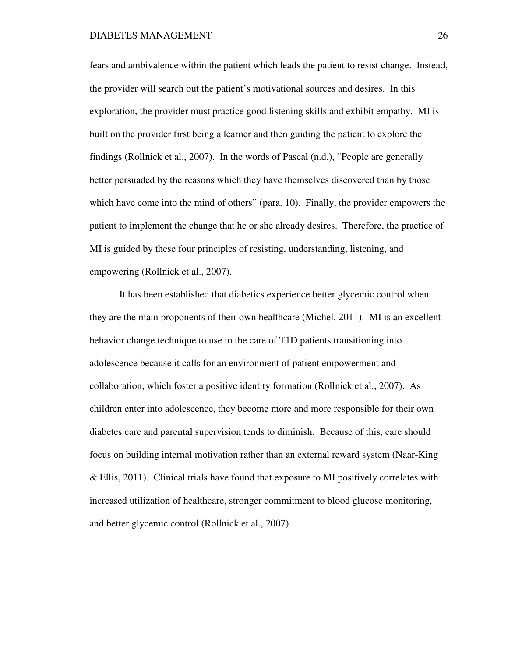fears and ambivalence within the patient which leads the patient to resist change. Instead, the provider will search out the patient's motivational sources and desires. In this exploration, the provider must practice good listening skills and exhibit empathy. MI is built on the provider first being a learner and then guiding the patient to explore the findings (Rollnick et al., 2007). In the words of Pascal (n.d.), "People are generally better persuaded by the reasons which they have themselves discovered than by those which have come into the mind of others" (para. 10). Finally, the provider empowers the patient to implement the change that he or she already desires. Therefore, the practice of MI is guided by these four principles of resisting, understanding, listening, and empowering (Rollnick et al., 2007).

 It has been established that diabetics experience better glycemic control when they are the main proponents of their own healthcare (Michel, 2011). MI is an excellent behavior change technique to use in the care of T1D patients transitioning into adolescence because it calls for an environment of patient empowerment and collaboration, which foster a positive identity formation (Rollnick et al., 2007). As children enter into adolescence, they become more and more responsible for their own diabetes care and parental supervision tends to diminish. Because of this, care should focus on building internal motivation rather than an external reward system (Naar-King & Ellis, 2011). Clinical trials have found that exposure to MI positively correlates with increased utilization of healthcare, stronger commitment to blood glucose monitoring, and better glycemic control (Rollnick et al., 2007).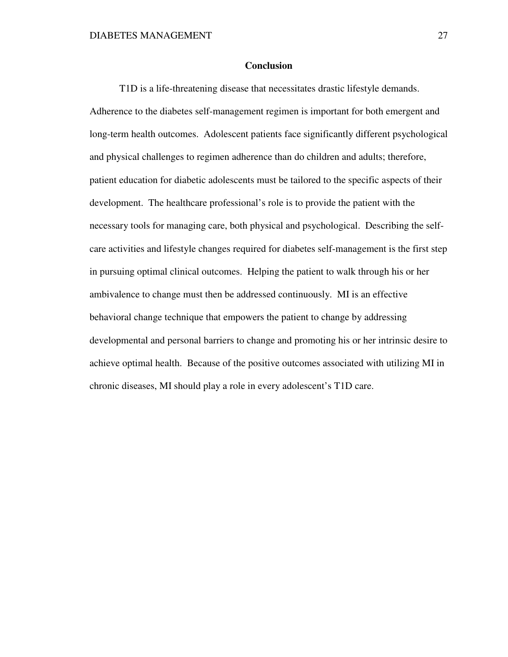## **Conclusion**

 T1D is a life-threatening disease that necessitates drastic lifestyle demands. Adherence to the diabetes self-management regimen is important for both emergent and long-term health outcomes. Adolescent patients face significantly different psychological and physical challenges to regimen adherence than do children and adults; therefore, patient education for diabetic adolescents must be tailored to the specific aspects of their development. The healthcare professional's role is to provide the patient with the necessary tools for managing care, both physical and psychological. Describing the selfcare activities and lifestyle changes required for diabetes self-management is the first step in pursuing optimal clinical outcomes. Helping the patient to walk through his or her ambivalence to change must then be addressed continuously. MI is an effective behavioral change technique that empowers the patient to change by addressing developmental and personal barriers to change and promoting his or her intrinsic desire to achieve optimal health. Because of the positive outcomes associated with utilizing MI in chronic diseases, MI should play a role in every adolescent's T1D care.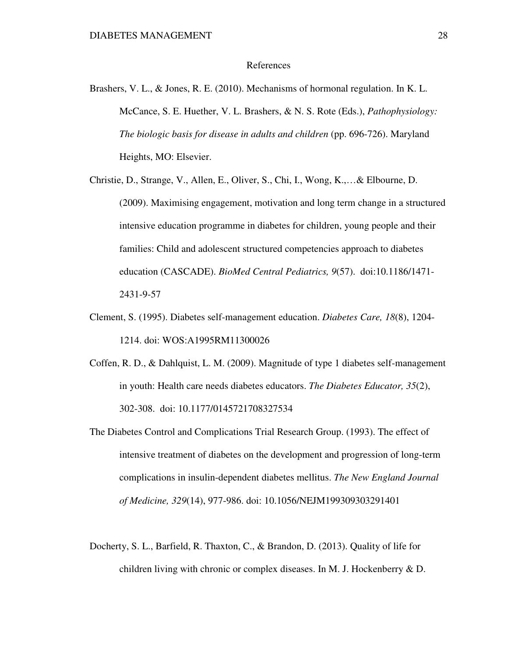### References

Brashers, V. L., & Jones, R. E. (2010). Mechanisms of hormonal regulation. In K. L. McCance, S. E. Huether, V. L. Brashers, & N. S. Rote (Eds.), *Pathophysiology: The biologic basis for disease in adults and children* (pp. 696-726). Maryland Heights, MO: Elsevier.

Christie, D., Strange, V., Allen, E., Oliver, S., Chi, I., Wong, K.,…& Elbourne, D. (2009). Maximising engagement, motivation and long term change in a structured intensive education programme in diabetes for children, young people and their families: Child and adolescent structured competencies approach to diabetes education (CASCADE). *BioMed Central Pediatrics, 9*(57). doi:10.1186/1471- 2431-9-57

- Clement, S. (1995). Diabetes self-management education. *Diabetes Care, 18*(8), 1204- 1214. doi: WOS:A1995RM11300026
- Coffen, R. D., & Dahlquist, L. M. (2009). Magnitude of type 1 diabetes self-management in youth: Health care needs diabetes educators. *The Diabetes Educator, 35*(2), 302-308. doi: 10.1177/0145721708327534
- The Diabetes Control and Complications Trial Research Group. (1993). The effect of intensive treatment of diabetes on the development and progression of long-term complications in insulin-dependent diabetes mellitus. *The New England Journal of Medicine, 329*(14), 977-986. doi: 10.1056/NEJM199309303291401
- Docherty, S. L., Barfield, R. Thaxton, C., & Brandon, D. (2013). Quality of life for children living with chronic or complex diseases. In M. J. Hockenberry & D.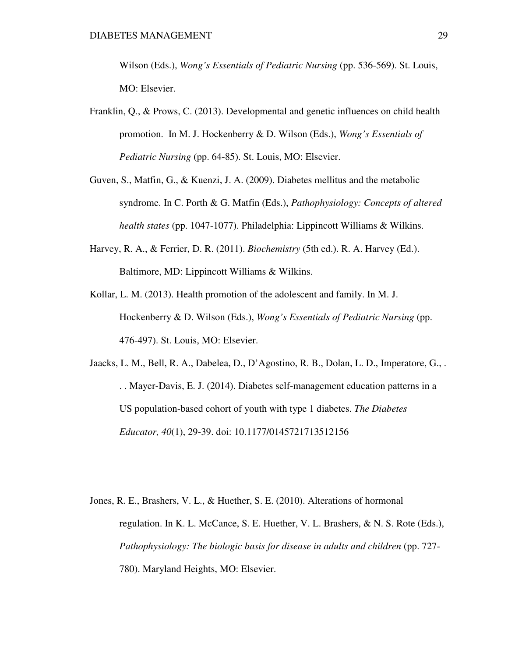Wilson (Eds.), *Wong's Essentials of Pediatric Nursing* (pp. 536-569). St. Louis, MO: Elsevier.

- Franklin, Q., & Prows, C. (2013). Developmental and genetic influences on child health promotion. In M. J. Hockenberry & D. Wilson (Eds.), *Wong's Essentials of Pediatric Nursing* (pp. 64-85). St. Louis, MO: Elsevier.
- Guven, S., Matfin, G., & Kuenzi, J. A. (2009). Diabetes mellitus and the metabolic syndrome. In C. Porth & G. Matfin (Eds.), *Pathophysiology: Concepts of altered health states* (pp. 1047-1077). Philadelphia: Lippincott Williams & Wilkins.
- Harvey, R. A., & Ferrier, D. R. (2011). *Biochemistry* (5th ed.). R. A. Harvey (Ed.). Baltimore, MD: Lippincott Williams & Wilkins.
- Kollar, L. M. (2013). Health promotion of the adolescent and family. In M. J. Hockenberry & D. Wilson (Eds.), *Wong's Essentials of Pediatric Nursing* (pp. 476-497). St. Louis, MO: Elsevier.
- Jaacks, L. M., Bell, R. A., Dabelea, D., D'Agostino, R. B., Dolan, L. D., Imperatore, G., . . . Mayer-Davis, E. J. (2014). Diabetes self-management education patterns in a US population-based cohort of youth with type 1 diabetes. *The Diabetes Educator, 40*(1), 29-39. doi: 10.1177/0145721713512156
- Jones, R. E., Brashers, V. L., & Huether, S. E. (2010). Alterations of hormonal regulation. In K. L. McCance, S. E. Huether, V. L. Brashers, & N. S. Rote (Eds.), *Pathophysiology: The biologic basis for disease in adults and children (pp. 727-*780). Maryland Heights, MO: Elsevier.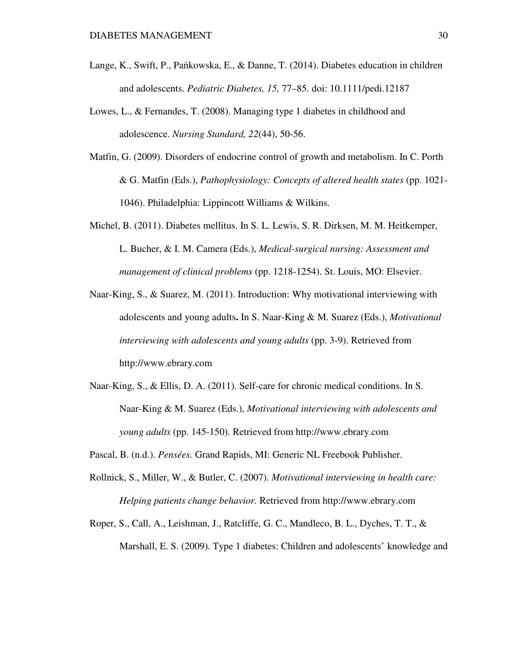- Lange, K., Swift, P., Pańkowska, E., & Danne, T. (2014). Diabetes education in children and adolescents. *Pediatric Diabetes, 15,* 77–85. doi: 10.1111/pedi.12187
- Lowes, L., & Fernandes, T. (2008). Managing type 1 diabetes in childhood and adolescence. *Nursing Standard, 22*(44), 50-56.
- Matfin, G. (2009). Disorders of endocrine control of growth and metabolism. In C. Porth & G. Matfin (Eds.), *Pathophysiology: Concepts of altered health states* (pp. 1021- 1046). Philadelphia: Lippincott Williams & Wilkins.
- Michel, B. (2011). Diabetes mellitus. In S. L. Lewis, S. R. Dirksen, M. M. Heitkemper, L. Bucher, & I. M. Camera (Eds.), *Medical-surgical nursing: Assessment and management of clinical problems* (pp. 1218-1254). St. Louis, MO: Elsevier.
- Naar-King, S., & Suarez, M. (2011). Introduction: Why motivational interviewing with adolescents and young adults**.** In S. Naar-King & M. Suarez (Eds.), *Motivational interviewing with adolescents and young adults* (pp. 3-9). Retrieved from http://www.ebrary.com
- Naar-King, S., & Ellis, D. A. (2011). Self-care for chronic medical conditions. In S. Naar-King & M. Suarez (Eds.), *Motivational interviewing with adolescents and young adults* (pp. 145-150). Retrieved from http://www.ebrary.com
- Pascal, B. (n.d.). *Pensées.* Grand Rapids, MI: Generic NL Freebook Publisher.
- Rollnick, S., Miller, W., & Butler, C. (2007). *Motivational interviewing in health care: Helping patients change behavior.* Retrieved from http://www.ebrary.com
- Roper, S., Call, A., Leishman, J., Ratcliffe, G. C., Mandleco, B. L., Dyches, T. T., & Marshall, E. S. (2009). Type 1 diabetes: Children and adolescents' knowledge and